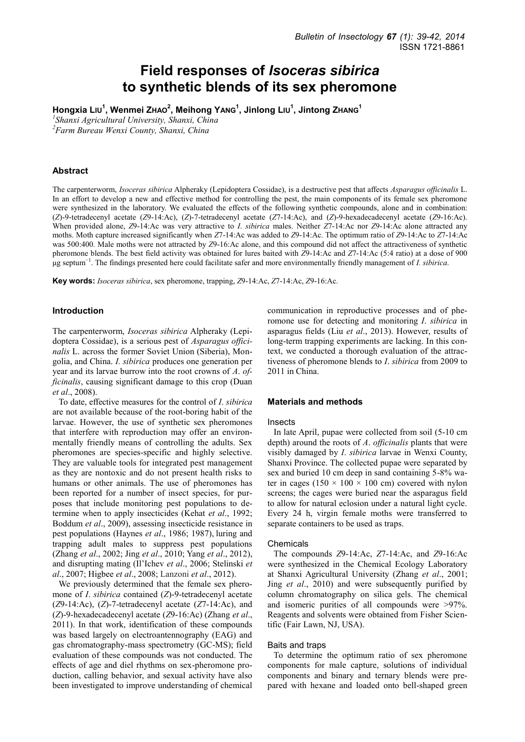# **Field responses of** *Isoceras sibirica*  **to synthetic blends of its sex pheromone**

**Hongxia LIU<sup>1</sup> , Wenmei ZHAO<sup>2</sup> , Meihong YANG<sup>1</sup> , Jinlong LIU<sup>1</sup> , Jintong ZHANG<sup>1</sup>**

*1 Shanxi Agricultural University, Shanxi, China* 

*<sup>2</sup>Farm Bureau Wenxi County, Shanxi, China* 

# **Abstract**

The carpenterworm, *Isoceras sibirica* Alpheraky (Lepidoptera Cossidae), is a destructive pest that affects *Asparagus officinalis* L. In an effort to develop a new and effective method for controlling the pest, the main components of its female sex pheromone were synthesized in the laboratory. We evaluated the effects of the following synthetic compounds, alone and in combination: (*Z*)-9-tetradecenyl acetate (*Z*9-14:Ac), (*Z*)-7-tetradecenyl acetate (*Z*7-14:Ac), and (*Z*)-9-hexadecadecenyl acetate (*Z*9-16:Ac). When provided alone, *Z*9-14:Ac was very attractive to *I*. *sibirica* males. Neither *Z*7-14:Ac nor *Z*9-14:Ac alone attracted any moths. Moth capture increased significantly when *Z*7-14:Ac was added to *Z*9-14:Ac. The optimum ratio of *Z*9-14:Ac to *Z*7-14:Ac was 500:400. Male moths were not attracted by *Z*9-16:Ac alone, and this compound did not affect the attractiveness of synthetic pheromone blends. The best field activity was obtained for lures baited with *Z*9-14:Ac and *Z*7-14:Ac (5:4 ratio) at a dose of 900 μg septum<sup>−</sup><sup>1</sup> . The findings presented here could facilitate safer and more environmentally friendly management of *I. sibirica*.

**Key words:** *Isoceras sibirica*, sex pheromone, trapping, *Z*9-14:Ac, *Z*7-14:Ac, *Z*9-16:Ac.

## **Introduction**

The carpenterworm, *Isoceras sibirica* Alpheraky (Lepidoptera Cossidae), is a serious pest of *Asparagus officinalis* L. across the former Soviet Union (Siberia), Mongolia, and China. *I. sibirica* produces one generation per year and its larvae burrow into the root crowns of *A*. *officinalis*, causing significant damage to this crop (Duan *et al*., 2008).

To date, effective measures for the control of *I*. *sibirica* are not available because of the root-boring habit of the larvae. However, the use of synthetic sex pheromones that interfere with reproduction may offer an environmentally friendly means of controlling the adults. Sex pheromones are species-specific and highly selective. They are valuable tools for integrated pest management as they are nontoxic and do not present health risks to humans or other animals. The use of pheromones has been reported for a number of insect species, for purposes that include monitoring pest populations to determine when to apply insecticides (Kehat *et al*., 1992; Boddum *et al*., 2009), assessing insecticide resistance in pest populations (Haynes *et al*., 1986; 1987), luring and trapping adult males to suppress pest populations (Zhang *et al*., 2002; Jing *et al*., 2010; Yang *et al*., 2012), and disrupting mating (Il'Ichev *et al*., 2006; Stelinski *et al*., 2007; Higbee *et al*., 2008; Lanzoni *et al*., 2012).

We previously determined that the female sex pheromone of *I*. *sibirica* contained (*Z*)-9-tetradecenyl acetate (*Z*9-14:Ac), (*Z*)-7-tetradecenyl acetate (*Z*7-14:Ac), and (*Z*)-9-hexadecadecenyl acetate (*Z*9-16:Ac) (Zhang *et al*., 2011). In that work, identification of these compounds was based largely on electroantennography (EAG) and gas chromatography-mass spectrometry (GC-MS); field evaluation of these compounds was not conducted. The effects of age and diel rhythms on sex-pheromone production, calling behavior, and sexual activity have also been investigated to improve understanding of chemical communication in reproductive processes and of pheromone use for detecting and monitoring *I*. *sibirica* in asparagus fields (Liu *et al*., 2013). However, results of long-term trapping experiments are lacking. In this context, we conducted a thorough evaluation of the attractiveness of pheromone blends to *I*. *sibirica* from 2009 to 2011 in China.

#### **Materials and methods**

#### **Insects**

In late April, pupae were collected from soil (5-10 cm depth) around the roots of *A*. *officinalis* plants that were visibly damaged by *I*. *sibirica* larvae in Wenxi County, Shanxi Province. The collected pupae were separated by sex and buried 10 cm deep in sand containing 5-8% water in cages ( $150 \times 100 \times 100$  cm) covered with nylon screens; the cages were buried near the asparagus field to allow for natural eclosion under a natural light cycle. Every 24 h, virgin female moths were transferred to separate containers to be used as traps.

### **Chemicals**

The compounds *Z*9-14:Ac, *Z*7-14:Ac, and *Z*9-16:Ac were synthesized in the Chemical Ecology Laboratory at Shanxi Agricultural University (Zhang *et al*., 2001; Jing *et al*., 2010) and were subsequently purified by column chromatography on silica gels. The chemical and isomeric purities of all compounds were >97%. Reagents and solvents were obtained from Fisher Scientific (Fair Lawn, NJ, USA).

#### Baits and traps

To determine the optimum ratio of sex pheromone components for male capture, solutions of individual components and binary and ternary blends were prepared with hexane and loaded onto bell-shaped green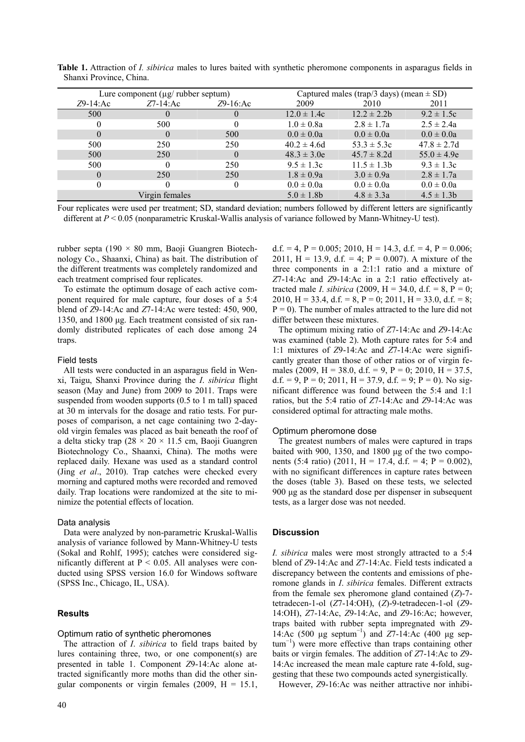| Lure component $(\mu g / \text{rubber septum})$ |              |             | Captured males (trap/3 days) (mean $\pm$ SD) |                 |                 |
|-------------------------------------------------|--------------|-------------|----------------------------------------------|-----------------|-----------------|
| $Z9-14$ :Ac                                     | $Z7-14$ :Ac  | $Z9-16$ :Ac | 2009                                         | 2010            | 2011            |
| 500                                             | $\mathbf{U}$ | $\theta$    | $12.0 \pm 1.4c$                              | $12.2 \pm 2.2b$ | $9.2 \pm 1.5c$  |
| 0                                               | 500          | $\theta$    | $1.0 \pm 0.8a$                               | $2.8 \pm 1.7a$  | $2.5 \pm 2.4a$  |
| $\Omega$                                        | $\theta$     | 500         | $0.0 \pm 0.0a$                               | $0.0 \pm 0.0a$  | $0.0 \pm 0.0a$  |
| 500                                             | 250          | 250         | $40.2 \pm 4.6d$                              | $53.3 \pm 5.3c$ | $47.8 \pm 2.7d$ |
| 500                                             | 250          | $\theta$    | $48.3 \pm 3.0e$                              | $45.7 \pm 8.2d$ | $55.0 \pm 4.9e$ |
| 500                                             |              | 250         | $9.5 \pm 1.3c$                               | $11.5 \pm 1.3b$ | $9.3 \pm 1.3c$  |
| $\theta$                                        | 250          | 250         | $1.8 \pm 0.9a$                               | $3.0 \pm 0.9a$  | $2.8 \pm 1.7a$  |
| $\theta$                                        |              | $\theta$    | $0.0 \pm 0.0a$                               | $0.0 \pm 0.0a$  | $0.0 \pm 0.0a$  |
| Virgin females                                  |              |             | $5.0 \pm 1.8$ b                              | $4.8 \pm 3.3a$  | $4.5 \pm 1.3$   |

**Table 1.** Attraction of *I. sibirica* males to lures baited with synthetic pheromone components in asparagus fields in Shanxi Province, China.

Four replicates were used per treatment; SD, standard deviation; numbers followed by different letters are significantly different at *P* < 0.05 (nonparametric Kruskal-Wallis analysis of variance followed by Mann-Whitney-U test).

rubber septa (190  $\times$  80 mm, Baoji Guangren Biotechnology Co., Shaanxi, China) as bait. The distribution of the different treatments was completely randomized and each treatment comprised four replicates.

To estimate the optimum dosage of each active component required for male capture, four doses of a 5:4 blend of *Z*9-14:Ac and *Z*7-14:Ac were tested: 450, 900, 1350, and 1800 μg. Each treatment consisted of six randomly distributed replicates of each dose among 24 traps.

# Field tests

All tests were conducted in an asparagus field in Wenxi, Taigu, Shanxi Province during the *I*. *sibirica* flight season (May and June) from 2009 to 2011. Traps were suspended from wooden supports (0.5 to 1 m tall) spaced at 30 m intervals for the dosage and ratio tests. For purposes of comparison, a net cage containing two 2-dayold virgin females was placed as bait beneath the roof of a delta sticky trap ( $28 \times 20 \times 11.5$  cm, Baoji Guangren Biotechnology Co., Shaanxi, China). The moths were replaced daily. Hexane was used as a standard control (Jing *et al*., 2010). Trap catches were checked every morning and captured moths were recorded and removed daily. Trap locations were randomized at the site to minimize the potential effects of location.

## Data analysis

Data were analyzed by non-parametric Kruskal-Wallis analysis of variance followed by Mann-Whitney-U tests (Sokal and Rohlf, 1995); catches were considered significantly different at  $P < 0.05$ . All analyses were conducted using SPSS version 16.0 for Windows software (SPSS Inc., Chicago, IL, USA).

# **Results**

## Optimum ratio of synthetic pheromones

The attraction of *I*. *sibirica* to field traps baited by lures containing three, two, or one component(s) are presented in table 1. Component *Z*9-14:Ac alone attracted significantly more moths than did the other singular components or virgin females  $(2009, H = 15.1,$  d.f. = 4, P = 0.005; 2010, H = 14.3, d.f. = 4, P = 0.006; 2011,  $H = 13.9$ , d.f. = 4;  $P = 0.007$ ). A mixture of the three components in a 2:1:1 ratio and a mixture of *Z*7-14:Ac and *Z*9-14:Ac in a 2:1 ratio effectively attracted male *I*. *sibirica* (2009,  $H = 34.0$ ,  $d.f. = 8$ ,  $P = 0$ ; 2010,  $H = 33.4$ ,  $d.f. = 8$ ,  $P = 0$ ; 2011,  $H = 33.0$ ,  $d.f. = 8$ ;  $P = 0$ ). The number of males attracted to the lure did not differ between these mixtures.

The optimum mixing ratio of *Z*7-14:Ac and *Z*9-14:Ac was examined (table 2). Moth capture rates for 5:4 and 1:1 mixtures of *Z*9-14:Ac and *Z*7-14:Ac were significantly greater than those of other ratios or of virgin females (2009,  $H = 38.0$ , d.f. = 9,  $P = 0$ ; 2010,  $H = 37.5$ , d.f. = 9, P = 0; 2011, H = 37.9, d.f. = 9; P = 0). No significant difference was found between the 5:4 and 1:1 ratios, but the 5:4 ratio of *Z*7-14:Ac and *Z*9-14:Ac was considered optimal for attracting male moths.

#### Optimum pheromone dose

The greatest numbers of males were captured in traps baited with 900, 1350, and 1800 μg of the two components (5:4 ratio) (2011, H = 17.4, d.f. = 4; P = 0.002), with no significant differences in capture rates between the doses (table 3). Based on these tests, we selected 900 μg as the standard dose per dispenser in subsequent tests, as a larger dose was not needed.

#### **Discussion**

*I. sibirica* males were most strongly attracted to a 5:4 blend of *Z*9-14:Ac and *Z*7-14:Ac. Field tests indicated a discrepancy between the contents and emissions of pheromone glands in *I*. *sibirica* females. Different extracts from the female sex pheromone gland contained (*Z*)-7 tetradecen-1-ol (*Z*7-14:OH), (*Z*)-9-tetradecen-1-ol (*Z*9- 14:OH), *Z*7-14:Ac, *Z*9-14:Ac, and *Z*9-16:Ac; however, traps baited with rubber septa impregnated with *Z*9- 14:Ac (500 μg septum<sup>-1</sup>) and *Z*7-14:Ac (400 μg septum<sup>−</sup><sup>1</sup> ) were more effective than traps containing other baits or virgin females. The addition of *Z*7-14:Ac to *Z*9- 14:Ac increased the mean male capture rate 4-fold, suggesting that these two compounds acted synergistically.

However, *Z*9-16:Ac was neither attractive nor inhibi-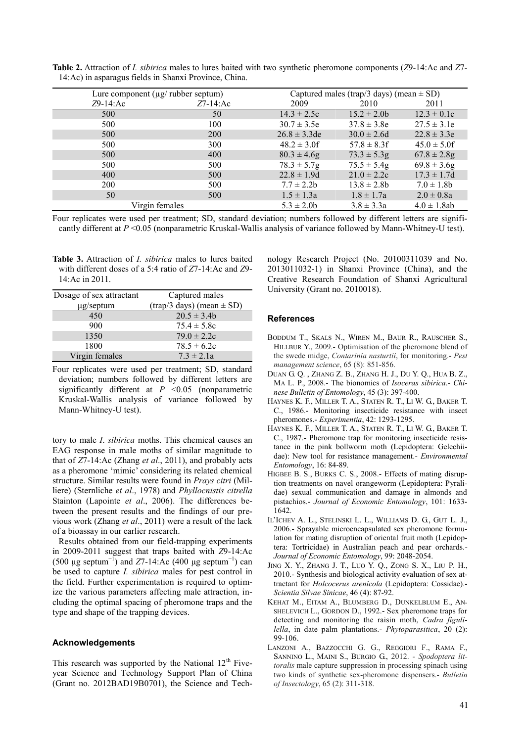| Lure component $(\mu g / \text{rubber septum})$ |             | Captured males (trap/3 days) (mean $\pm$ SD) |                  |                  |
|-------------------------------------------------|-------------|----------------------------------------------|------------------|------------------|
| $Z9-14$ :Ac                                     | $Z7-14$ :Ac | 2009                                         | 2010             | 2011             |
| 500                                             | 50          | $14.3 \pm 2.5c$                              | $15.2 \pm 2.0$   | $12.3 \pm 0.1c$  |
| 500                                             | 100         | $30.7 \pm 3.5e$                              | $37.8 \pm 3.8e$  | $27.5 \pm 3.1e$  |
| 500                                             | <b>200</b>  | $26.8 \pm 3.3$ de                            | $30.0 \pm 2.6d$  | $22.8 \pm 3.3e$  |
| 500                                             | 300         | $48.2 \pm 3.0$ f                             | $57.8 \pm 8.3$ f | $45.0 \pm 5.0$ f |
| 500                                             | 400         | $80.3 \pm 4.6$ g                             | $73.3 \pm 5.3$ g | $67.8 \pm 2.8$ g |
| 500                                             | 500         | $78.3 \pm 5.7g$                              | $75.5 \pm 5.4g$  | $69.8 \pm 3.6$ g |
| 400                                             | 500         | $22.8 \pm 1.9d$                              | $21.0 \pm 2.2c$  | $17.3 \pm 1.7d$  |
| 200                                             | 500         | $7.7 \pm 2.2b$                               | $13.8 \pm 2.8b$  | $7.0 \pm 1.8$ b  |
| 50                                              | 500         | $1.5 \pm 1.3a$                               | $1.8 \pm 1.7a$   | $2.0 \pm 0.8a$   |
| Virgin females                                  |             | $5.3 \pm 2.0$                                | $3.8 \pm 3.3a$   | $4.0 \pm 1.8$ ab |

**Table 2.** Attraction of *I. sibirica* males to lures baited with two synthetic pheromone components (*Z*9-14:Ac and *Z*7- 14:Ac) in asparagus fields in Shanxi Province, China.

Four replicates were used per treatment; SD, standard deviation; numbers followed by different letters are significantly different at *P* <0.05 (nonparametric Kruskal-Wallis analysis of variance followed by Mann-Whitney-U test).

| <b>Table 3.</b> Attraction of <i>I. sibirica</i> males to lures baited |  |  |
|------------------------------------------------------------------------|--|--|
| with different doses of a 5:4 ratio of $Z7-14$ : Ac and $Z9-$          |  |  |
| 14: Ac in $2011$ .                                                     |  |  |

| Dosage of sex attractant | Captured males                  |  |  |
|--------------------------|---------------------------------|--|--|
| $\mu$ g/septum           | $(trap/3 days)$ (mean $\pm$ SD) |  |  |
| 450                      | $20.5 \pm 3.4$                  |  |  |
| 900                      | $75.4 \pm 5.8c$                 |  |  |
| 1350                     | $79.0 \pm 2.2c$                 |  |  |
| 1800                     | $78.5 \pm 6.2c$                 |  |  |
| Virgin females           | $7.3 \pm 2.1a$                  |  |  |

Four replicates were used per treatment; SD, standard deviation; numbers followed by different letters are significantly different at  $P \leq 0.05$  (nonparametric Kruskal-Wallis analysis of variance followed by Mann-Whitney-U test).

tory to male *I*. *sibirica* moths. This chemical causes an EAG response in male moths of similar magnitude to that of *Z*7-14:Ac (Zhang *et al*., 2011), and probably acts as a pheromone 'mimic' considering its related chemical structure. Similar results were found in *Prays citri* (Milliere) (Sternliche *et al*., 1978) and *Phyllocnistis citrella*  Stainton (Lapointe *et al*., 2006). The differences between the present results and the findings of our previous work (Zhang *et al*., 2011) were a result of the lack of a bioassay in our earlier research.

Results obtained from our field-trapping experiments in 2009-2011 suggest that traps baited with *Z*9-14:Ac  $(500 \mu g$  septum<sup>-1</sup>) and *Z*7-14:Ac (400 μg septum<sup>-1</sup>) can be used to capture *I. sibirica* males for pest control in the field. Further experimentation is required to optimize the various parameters affecting male attraction, including the optimal spacing of pheromone traps and the type and shape of the trapping devices.

# **Acknowledgements**

This research was supported by the National  $12<sup>th</sup>$  Fiveyear Science and Technology Support Plan of China (Grant no. 2012BAD19B0701), the Science and Technology Research Project (No. 20100311039 and No. 2013011032-1) in Shanxi Province (China), and the Creative Research Foundation of Shanxi Agricultural University (Grant no. 2010018).

#### **References**

- BODDUM T., SKALS N., WIREN M., BAUR R., RAUSCHER S., HILLBUR Y., 2009.- Optimisation of the pheromone blend of the swede midge, *Contarinia nasturtii*, for monitoring.- *Pest management science*, 65 (8): 851-856.
- DUAN G. Q. , ZHANG Z. B., ZHANG H. J., DU Y. Q., HUA B. Z., MA L. P., 2008.- The bionomics of *Isoceras sibirica*.- *Chinese Bulletin of Entomology*, 45 (3): 397-400.
- HAYNES K. F., MILLER T. A., STATEN R. T., LI W. G., BAKER T. C., 1986.- Monitoring insecticide resistance with insect pheromones.- *Experimentia*, 42: 1293-1295.
- HAYNES K. F., MILLER T. A., STATEN R. T., LI W. G., BAKER T. C., 1987.- Pheromone trap for monitoring insecticide resistance in the pink bollworm moth (Lepidoptera: Gelechiidae): New tool for resistance management.- *Environmental Entomology*, 16: 84-89.
- HIGBEE B. S., BURKS C. S., 2008.- Effects of mating disruption treatments on navel orangeworm (Lepidoptera: Pyralidae) sexual communication and damage in almonds and pistachios.- *Journal of Economic Entomology*, 101: 1633- 1642.
- IL'ICHEV A. L., STELINSKI L. L., WILLIAMS D. G., GUT L. J., 2006.- Sprayable microencapsulated sex pheromone formulation for mating disruption of oriental fruit moth (Lepidoptera: Tortricidae) in Australian peach and pear orchards.- *Journal of Economic Entomology*, 99: 2048-2054.
- JING X. Y., ZHANG J. T., LUO Y. Q., ZONG S. X., LIU P. H., 2010.- Synthesis and biological activity evaluation of sex attractant for *Holcocerus arenicola* (Lepidoptera: Cossidae).- *Scientia Silvae Sinicae*, 46 (4): 87-92.
- KEHAT M., EITAM A., BLUMBERG D., DUNKELBLUM E., AN-SHELEVICH L., GORDON D., 1992.- Sex pheromone traps for detecting and monitoring the raisin moth, *Cadra figulilella*, in date palm plantations.- *Phytoparasitica*, 20 (2): 99-106.
- LANZONI A., BAZZOCCHI G. G., REGGIORI F., RAMA F., SANNINO L., MAINI S., BURGIO G., 2012. - *Spodoptera littoralis* male capture suppression in processing spinach using two kinds of synthetic sex-pheromone dispensers.- *Bulletin of Insectology*, 65 (2): 311-318.